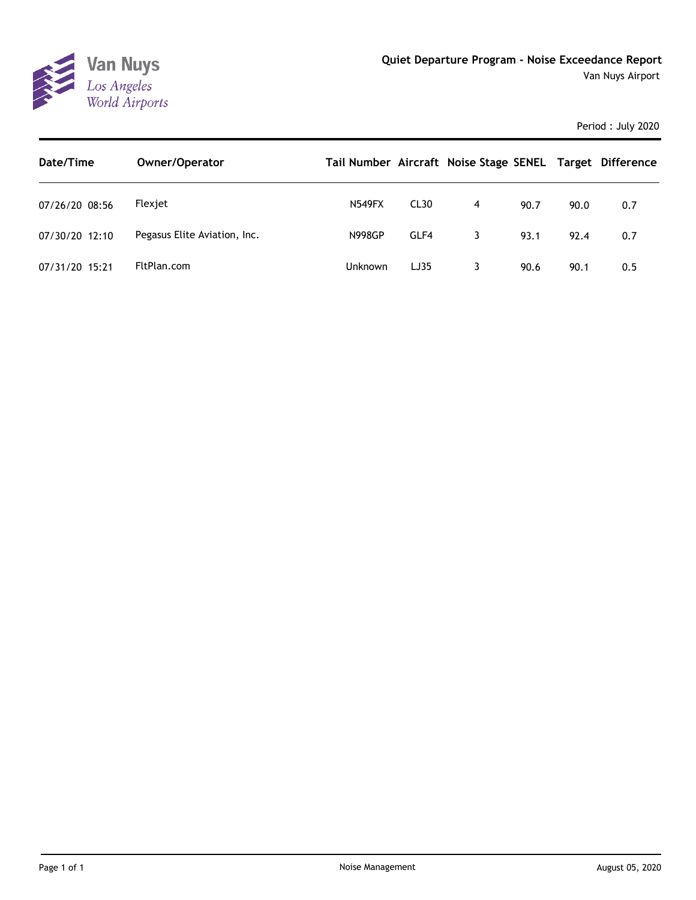

| Date/Time      | Owner/Operator               | Tail Number Aircraft Noise Stage SENEL Target Difference |                  |   |      |      |     |
|----------------|------------------------------|----------------------------------------------------------|------------------|---|------|------|-----|
| 07/26/20 08:56 | Flexiet                      | <b>N549FX</b>                                            | CL <sub>30</sub> | 4 | 90.7 | 90.0 | 0.7 |
| 07/30/20 12:10 | Pegasus Elite Aviation, Inc. | <b>N998GP</b>                                            | GLF4             | 3 | 93.1 | 92.4 | 0.7 |
| 07/31/20 15:21 | FltPlan.com                  | <b>Unknown</b>                                           | LJ35             |   | 90.6 | 90.1 | 0.5 |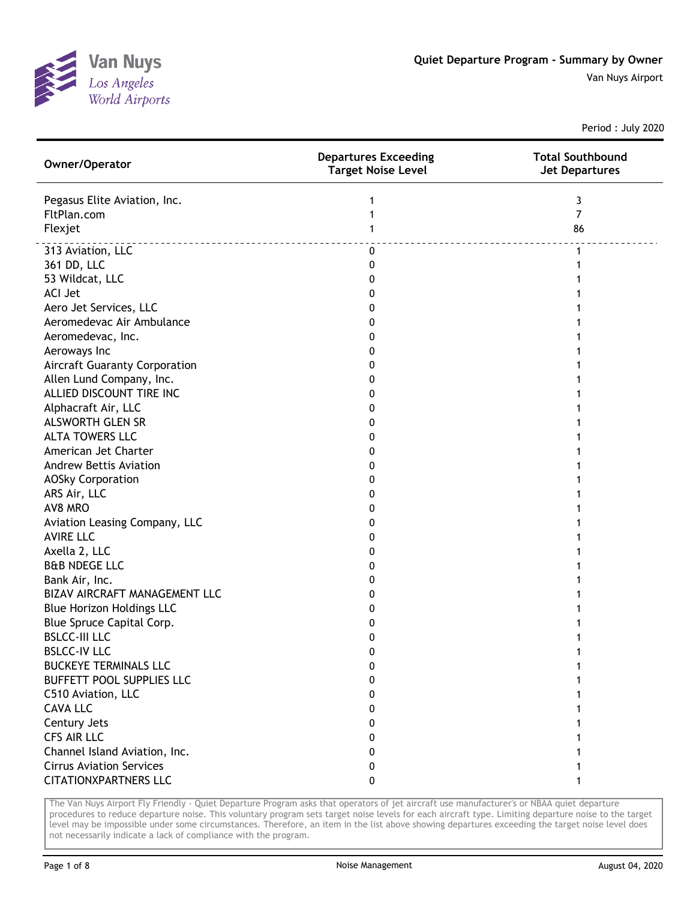

Van Nuys Airport

Period : July 2020

| Owner/Operator                  | <b>Departures Exceeding</b><br><b>Target Noise Level</b> | <b>Total Southbound</b><br><b>Jet Departures</b> |
|---------------------------------|----------------------------------------------------------|--------------------------------------------------|
| Pegasus Elite Aviation, Inc.    | 1                                                        | 3                                                |
| FltPlan.com                     | 1                                                        | $\overline{7}$                                   |
| Flexjet                         | 1                                                        | 86                                               |
| 313 Aviation, LLC               | $\pmb{0}$                                                | 1                                                |
| 361 DD, LLC                     | 0                                                        |                                                  |
| 53 Wildcat, LLC                 | 0                                                        |                                                  |
| <b>ACI Jet</b>                  | 0                                                        |                                                  |
| Aero Jet Services, LLC          | 0                                                        |                                                  |
| Aeromedevac Air Ambulance       | 0                                                        |                                                  |
| Aeromedevac, Inc.               | 0                                                        |                                                  |
| Aeroways Inc                    | 0                                                        |                                                  |
| Aircraft Guaranty Corporation   | 0                                                        |                                                  |
| Allen Lund Company, Inc.        | 0                                                        |                                                  |
| ALLIED DISCOUNT TIRE INC        | 0                                                        |                                                  |
| Alphacraft Air, LLC             | 0                                                        |                                                  |
| <b>ALSWORTH GLEN SR</b>         | 0                                                        |                                                  |
| <b>ALTA TOWERS LLC</b>          | 0                                                        |                                                  |
| American Jet Charter            | 0                                                        |                                                  |
| <b>Andrew Bettis Aviation</b>   | 0                                                        |                                                  |
| <b>AOSky Corporation</b>        | 0                                                        |                                                  |
| ARS Air, LLC                    | 0                                                        |                                                  |
| AV8 MRO                         | 0                                                        |                                                  |
| Aviation Leasing Company, LLC   | 0                                                        |                                                  |
| <b>AVIRE LLC</b>                | 0                                                        |                                                  |
| Axella 2, LLC                   | 0                                                        |                                                  |
| <b>B&amp;B NDEGE LLC</b>        | 0                                                        |                                                  |
| Bank Air, Inc.                  | 0                                                        |                                                  |
| BIZAV AIRCRAFT MANAGEMENT LLC   | 0                                                        |                                                  |
| Blue Horizon Holdings LLC       | 0                                                        |                                                  |
| Blue Spruce Capital Corp.       | 0                                                        |                                                  |
| <b>BSLCC-III LLC</b>            | 0                                                        |                                                  |
| <b>BSLCC-IV LLC</b>             | O                                                        |                                                  |
| <b>BUCKEYE TERMINALS LLC</b>    | 0                                                        |                                                  |
| BUFFETT POOL SUPPLIES LLC       | 0                                                        |                                                  |
| C510 Aviation, LLC              | 0                                                        |                                                  |
| <b>CAVA LLC</b>                 | 0                                                        |                                                  |
| Century Jets                    | 0                                                        |                                                  |
| <b>CFS AIR LLC</b>              | 0                                                        |                                                  |
| Channel Island Aviation, Inc.   | 0                                                        |                                                  |
| <b>Cirrus Aviation Services</b> | 0                                                        |                                                  |
| <b>CITATIONXPARTNERS LLC</b>    | 0                                                        |                                                  |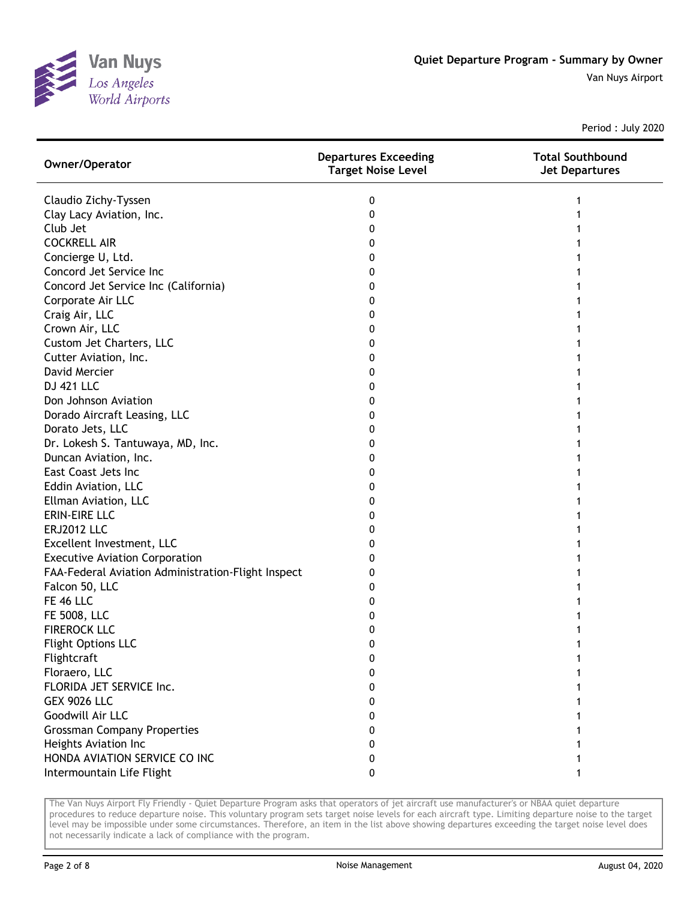

| Owner/Operator                                     | <b>Departures Exceeding</b><br>Target Noise Level | <b>Total Southbound</b><br><b>Jet Departures</b> |
|----------------------------------------------------|---------------------------------------------------|--------------------------------------------------|
| Claudio Zichy-Tyssen                               | 0                                                 |                                                  |
| Clay Lacy Aviation, Inc.                           | 0                                                 |                                                  |
| Club Jet                                           | 0                                                 |                                                  |
| <b>COCKRELL AIR</b>                                | 0                                                 |                                                  |
| Concierge U, Ltd.                                  | 0                                                 |                                                  |
| Concord Jet Service Inc                            | 0                                                 |                                                  |
| Concord Jet Service Inc (California)               | 0                                                 |                                                  |
| Corporate Air LLC                                  | 0                                                 |                                                  |
| Craig Air, LLC                                     | 0                                                 |                                                  |
| Crown Air, LLC                                     | 0                                                 |                                                  |
| Custom Jet Charters, LLC                           | 0                                                 |                                                  |
| Cutter Aviation, Inc.                              | 0                                                 |                                                  |
| David Mercier                                      | 0                                                 |                                                  |
| <b>DJ 421 LLC</b>                                  | 0                                                 |                                                  |
| Don Johnson Aviation                               | 0                                                 |                                                  |
| Dorado Aircraft Leasing, LLC                       | 0                                                 |                                                  |
| Dorato Jets, LLC                                   | 0                                                 |                                                  |
| Dr. Lokesh S. Tantuwaya, MD, Inc.                  | 0                                                 |                                                  |
| Duncan Aviation, Inc.                              | 0                                                 |                                                  |
| East Coast Jets Inc                                | 0                                                 |                                                  |
| Eddin Aviation, LLC                                | 0                                                 |                                                  |
| Ellman Aviation, LLC                               | 0                                                 |                                                  |
| ERIN-EIRE LLC                                      | 0                                                 |                                                  |
| <b>ERJ2012 LLC</b>                                 | 0                                                 |                                                  |
| Excellent Investment, LLC                          | 0                                                 |                                                  |
| <b>Executive Aviation Corporation</b>              | 0                                                 |                                                  |
| FAA-Federal Aviation Administration-Flight Inspect | 0                                                 |                                                  |
| Falcon 50, LLC                                     | 0                                                 |                                                  |
| <b>FE 46 LLC</b>                                   | 0                                                 |                                                  |
| FE 5008, LLC                                       | 0                                                 |                                                  |
| <b>FIREROCK LLC</b>                                | 0                                                 |                                                  |
| <b>Flight Options LLC</b>                          | 0                                                 |                                                  |
| Flightcraft                                        | 0                                                 |                                                  |
| Floraero, LLC                                      | 0                                                 |                                                  |
| FLORIDA JET SERVICE Inc.                           | 0                                                 |                                                  |
| <b>GEX 9026 LLC</b>                                | 0                                                 |                                                  |
| Goodwill Air LLC                                   | 0                                                 |                                                  |
| <b>Grossman Company Properties</b>                 | 0                                                 |                                                  |
| Heights Aviation Inc                               | 0                                                 |                                                  |
| HONDA AVIATION SERVICE CO INC                      | 0                                                 |                                                  |
| Intermountain Life Flight                          | 0                                                 |                                                  |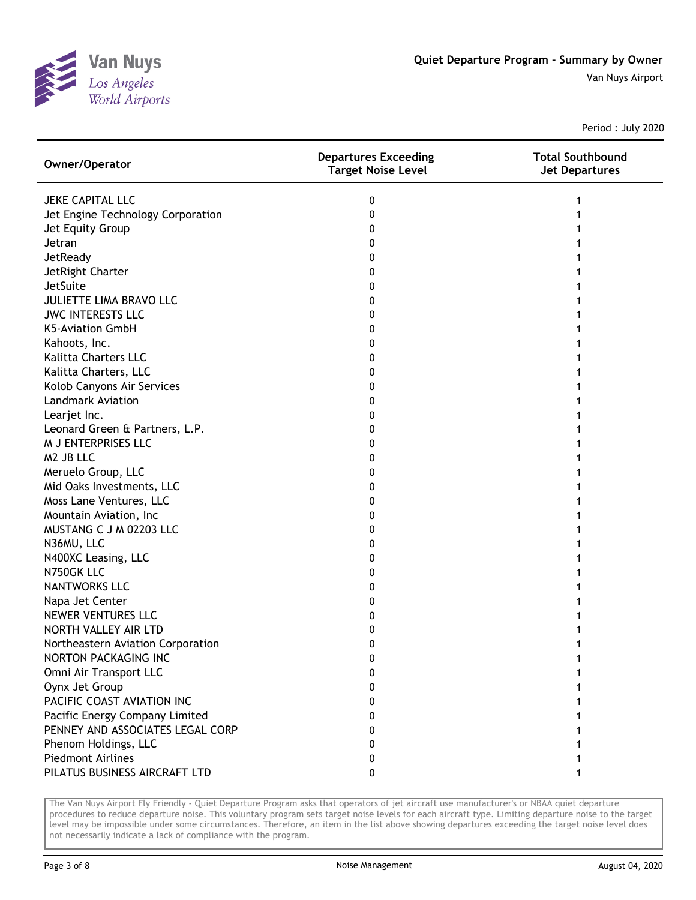

| Owner/Operator                    | <b>Departures Exceeding</b><br><b>Target Noise Level</b> | <b>Total Southbound</b><br><b>Jet Departures</b> |
|-----------------------------------|----------------------------------------------------------|--------------------------------------------------|
| <b>JEKE CAPITAL LLC</b>           | 0                                                        |                                                  |
| Jet Engine Technology Corporation | 0                                                        |                                                  |
| Jet Equity Group                  | 0                                                        |                                                  |
| Jetran                            | 0                                                        |                                                  |
| JetReady                          | 0                                                        |                                                  |
| JetRight Charter                  | 0                                                        |                                                  |
| JetSuite                          | 0                                                        |                                                  |
| <b>JULIETTE LIMA BRAVO LLC</b>    | 0                                                        |                                                  |
| <b>JWC INTERESTS LLC</b>          | 0                                                        |                                                  |
| <b>K5-Aviation GmbH</b>           | 0                                                        |                                                  |
| Kahoots, Inc.                     | 0                                                        |                                                  |
| <b>Kalitta Charters LLC</b>       | 0                                                        |                                                  |
| Kalitta Charters, LLC             | 0                                                        |                                                  |
| Kolob Canyons Air Services        | 0                                                        |                                                  |
| <b>Landmark Aviation</b>          | 0                                                        |                                                  |
| Learjet Inc.                      | 0                                                        |                                                  |
| Leonard Green & Partners, L.P.    | 0                                                        |                                                  |
| M J ENTERPRISES LLC               | 0                                                        |                                                  |
| M2 JB LLC                         | 0                                                        |                                                  |
| Meruelo Group, LLC                | 0                                                        |                                                  |
| Mid Oaks Investments, LLC         | 0                                                        |                                                  |
| Moss Lane Ventures, LLC           | 0                                                        |                                                  |
| Mountain Aviation, Inc.           | 0                                                        |                                                  |
| MUSTANG C J M 02203 LLC           | 0                                                        |                                                  |
| N36MU, LLC                        | 0                                                        |                                                  |
| N400XC Leasing, LLC               | 0                                                        |                                                  |
| N750GK LLC                        | 0                                                        |                                                  |
| <b>NANTWORKS LLC</b>              | 0                                                        |                                                  |
| Napa Jet Center                   | 0                                                        |                                                  |
| <b>NEWER VENTURES LLC</b>         | 0                                                        |                                                  |
| NORTH VALLEY AIR LTD              | 0                                                        |                                                  |
| Northeastern Aviation Corporation | 0                                                        |                                                  |
| NORTON PACKAGING INC              | 0                                                        |                                                  |
| Omni Air Transport LLC            | 0                                                        |                                                  |
| Oynx Jet Group                    | 0                                                        |                                                  |
| PACIFIC COAST AVIATION INC        | 0                                                        |                                                  |
| Pacific Energy Company Limited    | 0                                                        |                                                  |
| PENNEY AND ASSOCIATES LEGAL CORP  | 0                                                        |                                                  |
| Phenom Holdings, LLC              | 0                                                        |                                                  |
| Piedmont Airlines                 | 0                                                        |                                                  |
| PILATUS BUSINESS AIRCRAFT LTD     | 0                                                        |                                                  |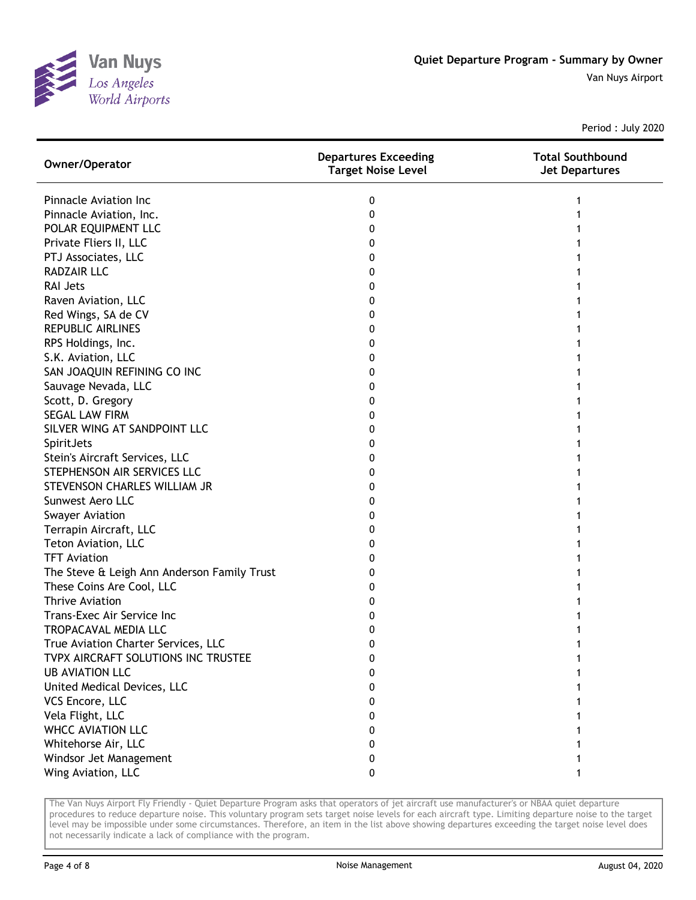

| Owner/Operator                              | <b>Departures Exceeding</b><br><b>Target Noise Level</b> | <b>Total Southbound</b><br><b>Jet Departures</b> |
|---------------------------------------------|----------------------------------------------------------|--------------------------------------------------|
| Pinnacle Aviation Inc                       | 0                                                        |                                                  |
| Pinnacle Aviation, Inc.                     | 0                                                        |                                                  |
| POLAR EQUIPMENT LLC                         | 0                                                        |                                                  |
| Private Fliers II, LLC                      | 0                                                        |                                                  |
| PTJ Associates, LLC                         | 0                                                        |                                                  |
| <b>RADZAIR LLC</b>                          | 0                                                        |                                                  |
| <b>RAI Jets</b>                             | 0                                                        |                                                  |
| Raven Aviation, LLC                         | 0                                                        |                                                  |
| Red Wings, SA de CV                         | 0                                                        |                                                  |
| <b>REPUBLIC AIRLINES</b>                    | 0                                                        |                                                  |
| RPS Holdings, Inc.                          | 0                                                        |                                                  |
| S.K. Aviation, LLC                          | 0                                                        |                                                  |
| SAN JOAQUIN REFINING CO INC                 | 0                                                        |                                                  |
| Sauvage Nevada, LLC                         | 0                                                        |                                                  |
| Scott, D. Gregory                           | 0                                                        |                                                  |
| <b>SEGAL LAW FIRM</b>                       | 0                                                        |                                                  |
| SILVER WING AT SANDPOINT LLC                | 0                                                        |                                                  |
| SpiritJets                                  | 0                                                        |                                                  |
| Stein's Aircraft Services, LLC              | 0                                                        |                                                  |
| STEPHENSON AIR SERVICES LLC                 | 0                                                        |                                                  |
| STEVENSON CHARLES WILLIAM JR                | 0                                                        |                                                  |
| Sunwest Aero LLC                            | 0                                                        |                                                  |
| <b>Swayer Aviation</b>                      | 0                                                        |                                                  |
| Terrapin Aircraft, LLC                      | 0                                                        |                                                  |
| Teton Aviation, LLC                         | 0                                                        |                                                  |
| <b>TFT Aviation</b>                         | 0                                                        |                                                  |
| The Steve & Leigh Ann Anderson Family Trust | 0                                                        |                                                  |
| These Coins Are Cool, LLC                   | 0                                                        |                                                  |
| <b>Thrive Aviation</b>                      | O                                                        |                                                  |
| Trans-Exec Air Service Inc                  | O                                                        |                                                  |
| TROPACAVAL MEDIA LLC                        | 0                                                        |                                                  |
| True Aviation Charter Services, LLC         | 0                                                        |                                                  |
| TVPX AIRCRAFT SOLUTIONS INC TRUSTEE         | 0                                                        | 1                                                |
| <b>UB AVIATION LLC</b>                      | 0                                                        |                                                  |
| United Medical Devices, LLC                 | 0                                                        |                                                  |
| VCS Encore, LLC                             | 0                                                        |                                                  |
| Vela Flight, LLC                            | 0                                                        |                                                  |
| <b>WHCC AVIATION LLC</b>                    | 0                                                        |                                                  |
| Whitehorse Air, LLC                         | 0                                                        |                                                  |
| Windsor Jet Management                      | 0                                                        |                                                  |
| Wing Aviation, LLC                          | 0                                                        |                                                  |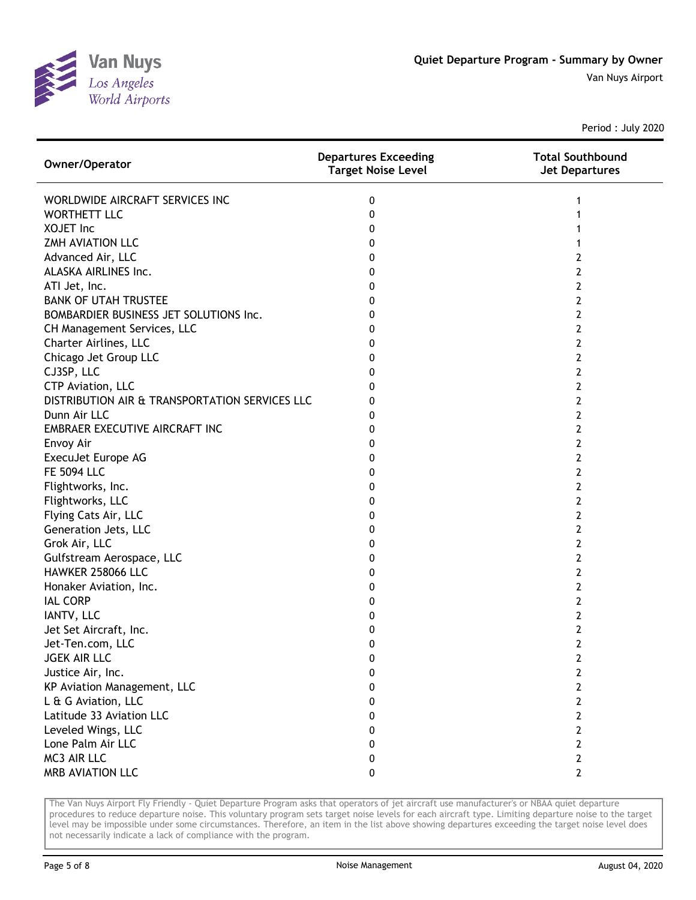

| Owner/Operator                                 | <b>Departures Exceeding</b><br><b>Target Noise Level</b> | <b>Total Southbound</b><br><b>Jet Departures</b> |
|------------------------------------------------|----------------------------------------------------------|--------------------------------------------------|
| WORLDWIDE AIRCRAFT SERVICES INC                | 0                                                        | 1                                                |
| <b>WORTHETT LLC</b>                            | 0                                                        |                                                  |
| <b>XOJET Inc</b>                               | 0                                                        |                                                  |
| ZMH AVIATION LLC                               | 0                                                        |                                                  |
| Advanced Air, LLC                              | 0                                                        | 2                                                |
| ALASKA AIRLINES Inc.                           | 0                                                        | 2                                                |
| ATI Jet, Inc.                                  | 0                                                        | 2                                                |
| <b>BANK OF UTAH TRUSTEE</b>                    | 0                                                        | 2                                                |
| BOMBARDIER BUSINESS JET SOLUTIONS Inc.         | 0                                                        | 2                                                |
| CH Management Services, LLC                    | 0                                                        | $\overline{2}$                                   |
| Charter Airlines, LLC                          | 0                                                        | $\overline{2}$                                   |
| Chicago Jet Group LLC                          | 0                                                        | $\overline{2}$                                   |
| CJ3SP, LLC                                     | 0                                                        | $\overline{2}$                                   |
| CTP Aviation, LLC                              | 0                                                        | 2                                                |
| DISTRIBUTION AIR & TRANSPORTATION SERVICES LLC | 0                                                        | 2                                                |
| Dunn Air LLC                                   | 0                                                        | 2                                                |
| EMBRAER EXECUTIVE AIRCRAFT INC                 | 0                                                        | 2                                                |
| Envoy Air                                      | 0                                                        | 2                                                |
| ExecuJet Europe AG                             | 0                                                        | 2                                                |
| <b>FE 5094 LLC</b>                             | 0                                                        | 2                                                |
| Flightworks, Inc.                              | 0                                                        | 2                                                |
| Flightworks, LLC                               | 0                                                        | 2                                                |
| Flying Cats Air, LLC                           | 0                                                        | $\overline{2}$                                   |
| Generation Jets, LLC                           | 0                                                        | 2                                                |
| Grok Air, LLC                                  | 0                                                        | 2                                                |
| Gulfstream Aerospace, LLC                      | 0                                                        | 2                                                |
| HAWKER 258066 LLC                              | 0                                                        | 2                                                |
| Honaker Aviation, Inc.                         | 0                                                        | 2                                                |
| <b>IAL CORP</b>                                | 0                                                        | 2                                                |
| IANTV, LLC                                     | 0                                                        | 2                                                |
| Jet Set Aircraft, Inc.                         | 0                                                        | 2                                                |
| Jet-Ten.com, LLC                               | 0                                                        | 2                                                |
| <b>JGEK AIR LLC</b>                            | 0                                                        | 2                                                |
| Justice Air, Inc.                              | 0                                                        | 2                                                |
| KP Aviation Management, LLC                    | 0                                                        | 2                                                |
| L & G Aviation, LLC                            | 0                                                        | $\mathbf{2}$                                     |
| Latitude 33 Aviation LLC                       | 0                                                        | 2                                                |
| Leveled Wings, LLC                             | 0                                                        | 2                                                |
| Lone Palm Air LLC                              | 0                                                        | 2                                                |
| MC3 AIR LLC                                    | 0                                                        | $\overline{2}$                                   |
| MRB AVIATION LLC                               | 0                                                        | $\overline{2}$                                   |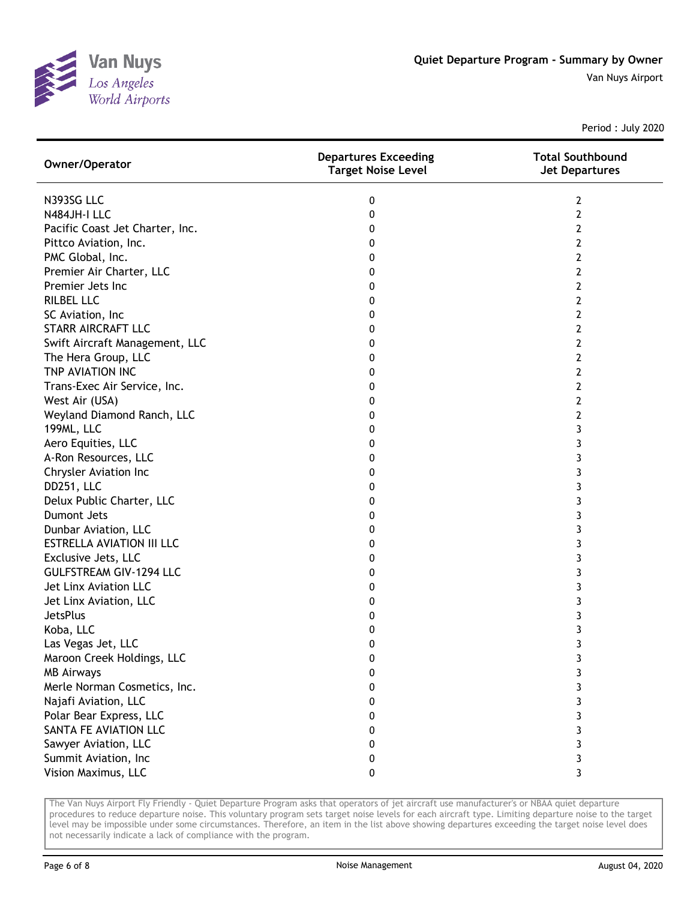

| Owner/Operator                   | <b>Departures Exceeding</b><br><b>Target Noise Level</b> | <b>Total Southbound</b><br><b>Jet Departures</b> |
|----------------------------------|----------------------------------------------------------|--------------------------------------------------|
| N393SG LLC                       | 0                                                        | 2                                                |
| N484JH-I LLC                     | 0                                                        | 2                                                |
| Pacific Coast Jet Charter, Inc.  | 0                                                        | 2                                                |
| Pittco Aviation, Inc.            | 0                                                        | 2                                                |
| PMC Global, Inc.                 | 0                                                        | 2                                                |
| Premier Air Charter, LLC         | 0                                                        | 2                                                |
| Premier Jets Inc                 | 0                                                        | 2                                                |
| <b>RILBEL LLC</b>                | 0                                                        | 2                                                |
| SC Aviation, Inc                 | 0                                                        | 2                                                |
| STARR AIRCRAFT LLC               | 0                                                        | 2                                                |
| Swift Aircraft Management, LLC   | 0                                                        | 2                                                |
| The Hera Group, LLC              | 0                                                        | 2                                                |
| TNP AVIATION INC                 | 0                                                        | 2                                                |
| Trans-Exec Air Service, Inc.     | 0                                                        | 2                                                |
| West Air (USA)                   | 0                                                        | 2                                                |
| Weyland Diamond Ranch, LLC       | 0                                                        | 2                                                |
| 199ML, LLC                       | 0                                                        | 3                                                |
| Aero Equities, LLC               | 0                                                        | 3                                                |
| A-Ron Resources, LLC             | 0                                                        | 3                                                |
| Chrysler Aviation Inc            | 0                                                        | 3                                                |
| DD251, LLC                       | 0                                                        | 3                                                |
| Delux Public Charter, LLC        | 0                                                        | 3                                                |
| Dumont Jets                      | 0                                                        | 3                                                |
| Dunbar Aviation, LLC             | 0                                                        | 3                                                |
| <b>ESTRELLA AVIATION III LLC</b> | 0                                                        | 3                                                |
| Exclusive Jets, LLC              | 0                                                        | 3                                                |
| <b>GULFSTREAM GIV-1294 LLC</b>   | 0                                                        | 3                                                |
| Jet Linx Aviation LLC            | 0                                                        | 3                                                |
| Jet Linx Aviation, LLC           | 0                                                        | 3                                                |
| <b>JetsPlus</b>                  | 0                                                        | 3                                                |
| Koba, LLC                        | 0                                                        | 3                                                |
| Las Vegas Jet, LLC               | 0                                                        | 3                                                |
| Maroon Creek Holdings, LLC       | 0                                                        | 3                                                |
| <b>MB Airways</b>                | 0                                                        | 3                                                |
| Merle Norman Cosmetics, Inc.     | 0                                                        | 3                                                |
| Najafi Aviation, LLC             | 0                                                        | 3                                                |
| Polar Bear Express, LLC          | 0                                                        | 3                                                |
| SANTA FE AVIATION LLC            | 0                                                        | 3                                                |
| Sawyer Aviation, LLC             | 0                                                        | 3                                                |
| Summit Aviation, Inc             | 0                                                        | 3                                                |
| Vision Maximus, LLC              | 0                                                        | 3                                                |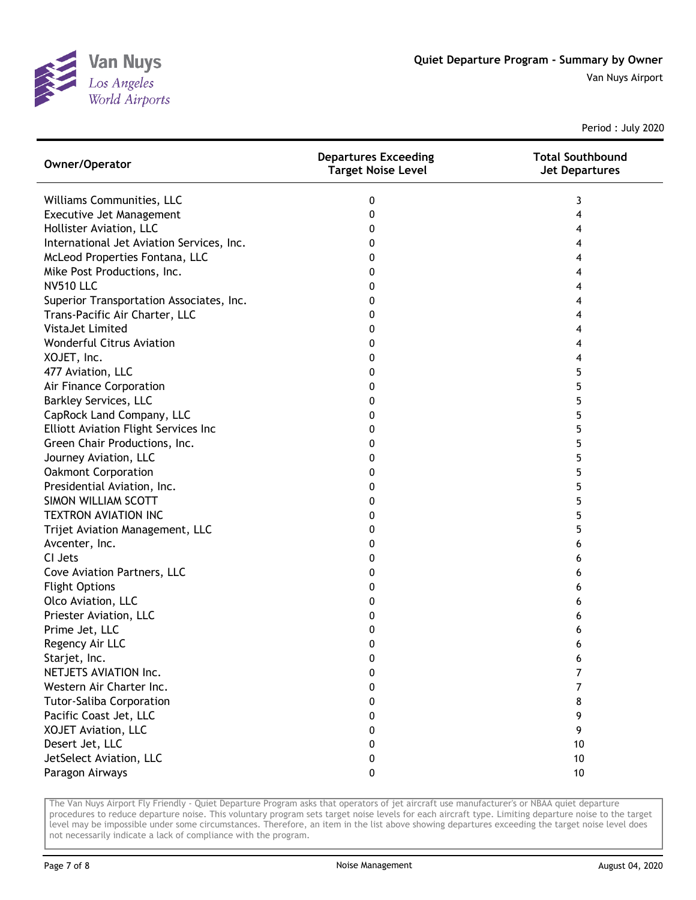

| Owner/Operator                            | <b>Departures Exceeding</b><br><b>Target Noise Level</b> | <b>Total Southbound</b><br><b>Jet Departures</b> |
|-------------------------------------------|----------------------------------------------------------|--------------------------------------------------|
| Williams Communities, LLC                 | 0                                                        | 3                                                |
| Executive Jet Management                  | 0                                                        | 4                                                |
| Hollister Aviation, LLC                   | 0                                                        | 4                                                |
| International Jet Aviation Services, Inc. | 0                                                        | 4                                                |
| McLeod Properties Fontana, LLC            | 0                                                        | 4                                                |
| Mike Post Productions, Inc.               | 0                                                        | 4                                                |
| <b>NV510 LLC</b>                          | 0                                                        | 4                                                |
| Superior Transportation Associates, Inc.  | 0                                                        | 4                                                |
| Trans-Pacific Air Charter, LLC            | 0                                                        | 4                                                |
| VistaJet Limited                          | 0                                                        | 4                                                |
| <b>Wonderful Citrus Aviation</b>          | 0                                                        | 4                                                |
| XOJET, Inc.                               | 0                                                        | 4                                                |
| 477 Aviation, LLC                         | 0                                                        | 5                                                |
| Air Finance Corporation                   | 0                                                        | 5                                                |
| <b>Barkley Services, LLC</b>              | 0                                                        | 5                                                |
| CapRock Land Company, LLC                 | 0                                                        | 5                                                |
| Elliott Aviation Flight Services Inc      | 0                                                        | 5                                                |
| Green Chair Productions, Inc.             | 0                                                        | 5                                                |
| Journey Aviation, LLC                     | 0                                                        | 5                                                |
| <b>Oakmont Corporation</b>                | 0                                                        | 5                                                |
| Presidential Aviation, Inc.               | 0                                                        | 5                                                |
| SIMON WILLIAM SCOTT                       | 0                                                        | 5                                                |
| <b>TEXTRON AVIATION INC</b>               | 0                                                        | 5                                                |
| Trijet Aviation Management, LLC           | 0                                                        | 5                                                |
| Avcenter, Inc.                            | 0                                                        | 6                                                |
| CI Jets                                   | 0                                                        | 6                                                |
| Cove Aviation Partners, LLC               | 0                                                        | 6                                                |
| <b>Flight Options</b>                     | 0                                                        | 6                                                |
| Olco Aviation, LLC                        | 0                                                        | 6                                                |
| Priester Aviation, LLC                    | 0                                                        | 6                                                |
| Prime Jet, LLC                            | 0                                                        | 6                                                |
| Regency Air LLC                           | 0                                                        | 6                                                |
| Starjet, Inc.                             | 0                                                        | 6                                                |
| NETJETS AVIATION Inc.                     | 0                                                        | 7                                                |
| Western Air Charter Inc.                  | 0                                                        | 7                                                |
| <b>Tutor-Saliba Corporation</b>           | 0                                                        | 8                                                |
| Pacific Coast Jet, LLC                    | 0                                                        | 9                                                |
| XOJET Aviation, LLC                       | 0                                                        | 9                                                |
| Desert Jet, LLC                           | 0                                                        | 10                                               |
| JetSelect Aviation, LLC                   | 0                                                        | 10                                               |
| Paragon Airways                           | 0                                                        | 10                                               |